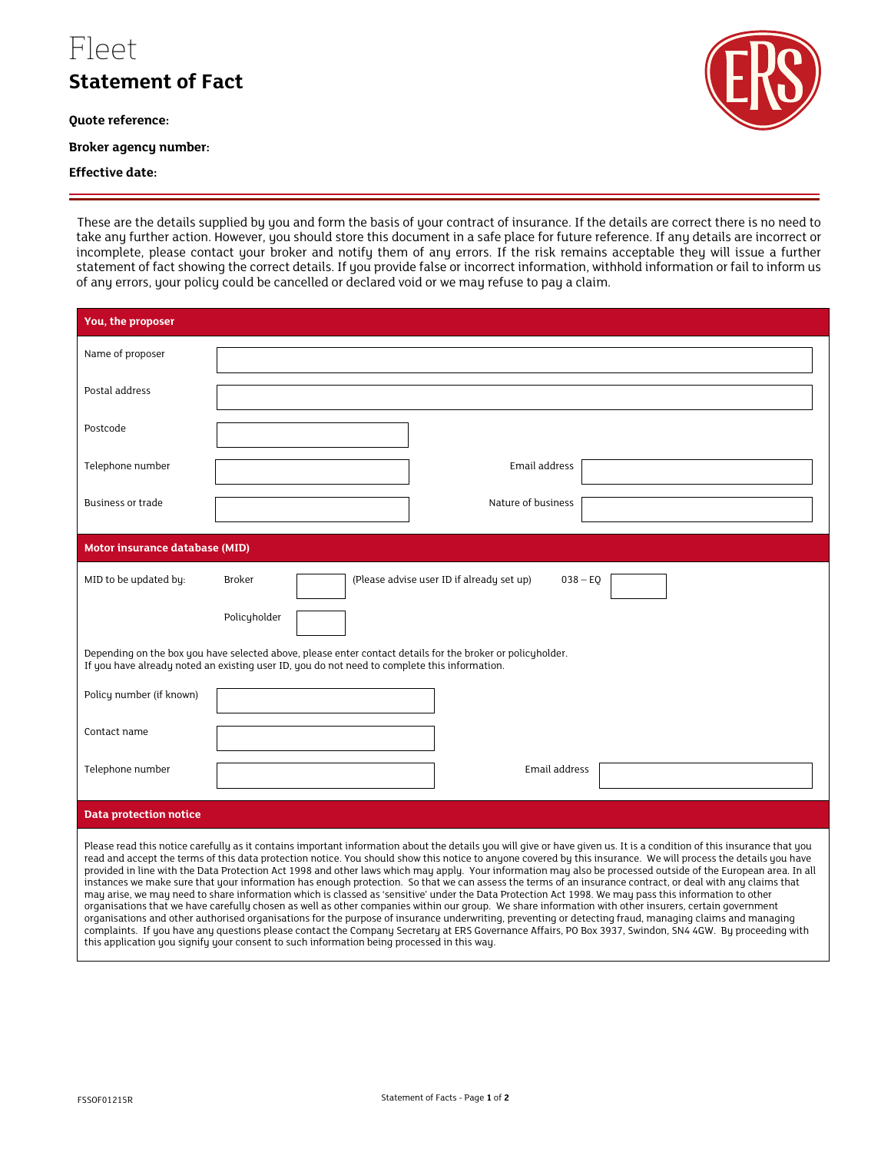## Fleet

**Statement of Fact** 

**Quote reference:**

**Broker agency number:** 

## **Effective date:**

These are the details supplied by you and form the basis of your contract of insurance. If the details are correct there is no need to take any further action. However, you should store this document in a safe place for future reference. If any details are incorrect or incomplete, please contact your broker and notify them of any errors. If the risk remains acceptable they will issue a further statement of fact showing the correct details. If you provide false or incorrect information, withhold information or fail to inform us of any errors, your policy could be cancelled or declared void or we may refuse to pay a claim.

| You, the proposer                                                                                                                                                                                                                                                                                                                                                                                                                                                                                                                                                                                                                                                                                                                                                                                                                                                                                                                                                                                                                                                                                                                                                                                                                                                                                                                                                                                              |                                                                          |
|----------------------------------------------------------------------------------------------------------------------------------------------------------------------------------------------------------------------------------------------------------------------------------------------------------------------------------------------------------------------------------------------------------------------------------------------------------------------------------------------------------------------------------------------------------------------------------------------------------------------------------------------------------------------------------------------------------------------------------------------------------------------------------------------------------------------------------------------------------------------------------------------------------------------------------------------------------------------------------------------------------------------------------------------------------------------------------------------------------------------------------------------------------------------------------------------------------------------------------------------------------------------------------------------------------------------------------------------------------------------------------------------------------------|--------------------------------------------------------------------------|
| Name of proposer                                                                                                                                                                                                                                                                                                                                                                                                                                                                                                                                                                                                                                                                                                                                                                                                                                                                                                                                                                                                                                                                                                                                                                                                                                                                                                                                                                                               |                                                                          |
| Postal address                                                                                                                                                                                                                                                                                                                                                                                                                                                                                                                                                                                                                                                                                                                                                                                                                                                                                                                                                                                                                                                                                                                                                                                                                                                                                                                                                                                                 |                                                                          |
| Postcode                                                                                                                                                                                                                                                                                                                                                                                                                                                                                                                                                                                                                                                                                                                                                                                                                                                                                                                                                                                                                                                                                                                                                                                                                                                                                                                                                                                                       |                                                                          |
| Telephone number                                                                                                                                                                                                                                                                                                                                                                                                                                                                                                                                                                                                                                                                                                                                                                                                                                                                                                                                                                                                                                                                                                                                                                                                                                                                                                                                                                                               | Email address                                                            |
| <b>Business or trade</b>                                                                                                                                                                                                                                                                                                                                                                                                                                                                                                                                                                                                                                                                                                                                                                                                                                                                                                                                                                                                                                                                                                                                                                                                                                                                                                                                                                                       | Nature of business                                                       |
| <b>Motor insurance database (MID)</b>                                                                                                                                                                                                                                                                                                                                                                                                                                                                                                                                                                                                                                                                                                                                                                                                                                                                                                                                                                                                                                                                                                                                                                                                                                                                                                                                                                          |                                                                          |
| MID to be updated by:                                                                                                                                                                                                                                                                                                                                                                                                                                                                                                                                                                                                                                                                                                                                                                                                                                                                                                                                                                                                                                                                                                                                                                                                                                                                                                                                                                                          | (Please advise user ID if already set up)<br><b>Broker</b><br>$038 - EQ$ |
|                                                                                                                                                                                                                                                                                                                                                                                                                                                                                                                                                                                                                                                                                                                                                                                                                                                                                                                                                                                                                                                                                                                                                                                                                                                                                                                                                                                                                | Policyholder                                                             |
| Depending on the box you have selected above, please enter contact details for the broker or policyholder.<br>If you have already noted an existing user ID, you do not need to complete this information.                                                                                                                                                                                                                                                                                                                                                                                                                                                                                                                                                                                                                                                                                                                                                                                                                                                                                                                                                                                                                                                                                                                                                                                                     |                                                                          |
| Policy number (if known)                                                                                                                                                                                                                                                                                                                                                                                                                                                                                                                                                                                                                                                                                                                                                                                                                                                                                                                                                                                                                                                                                                                                                                                                                                                                                                                                                                                       |                                                                          |
| Contact name                                                                                                                                                                                                                                                                                                                                                                                                                                                                                                                                                                                                                                                                                                                                                                                                                                                                                                                                                                                                                                                                                                                                                                                                                                                                                                                                                                                                   |                                                                          |
| Telephone number                                                                                                                                                                                                                                                                                                                                                                                                                                                                                                                                                                                                                                                                                                                                                                                                                                                                                                                                                                                                                                                                                                                                                                                                                                                                                                                                                                                               | Email address                                                            |
| <b>Data protection notice</b>                                                                                                                                                                                                                                                                                                                                                                                                                                                                                                                                                                                                                                                                                                                                                                                                                                                                                                                                                                                                                                                                                                                                                                                                                                                                                                                                                                                  |                                                                          |
| Please read this notice carefully as it contains important information about the details you will give or have given us. It is a condition of this insurance that you<br>read and accept the terms of this data protection notice. You should show this notice to anyone covered by this insurance. We will process the details you have<br>provided in line with the Data Protection Act 1998 and other laws which may apply. Your information may also be processed outside of the European area. In all<br>instances we make sure that your information has enough protection. So that we can assess the terms of an insurance contract, or deal with any claims that<br>may arise, we may need to share information which is classed as 'sensitive' under the Data Protection Act 1998. We may pass this information to other<br>organisations that we have carefully chosen as well as other companies within our group. We share information with other insurers, certain government<br>organisations and other authorised organisations for the purpose of insurance underwriting, preventing or detecting fraud, managing claims and managing<br>complaints. If you have any questions please contact the Company Secretary at ERS Governance Affairs, PO Box 3937, Swindon, SN4 4GW. By proceeding with<br>this application you signify your consent to such information being processed in this way. |                                                                          |